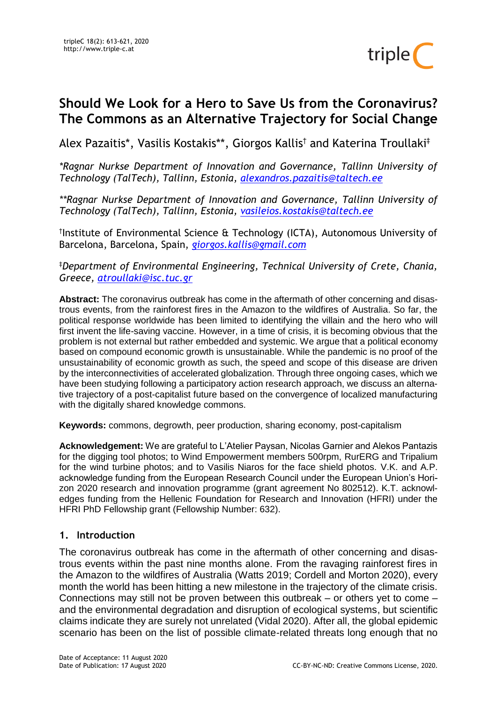

# **Should We Look for a Hero to Save Us from the Coronavirus? The Commons as an Alternative Trajectory for Social Change**

Alex Pazaitis\*, Vasilis Kostakis\*\*, Giorgos Kallis† and Katerina Troullaki‡

*\*Ragnar Nurkse Department of Innovation and Governance, Tallinn University of Technology (TalTech), Tallinn, Estonia, [alexandros.pazaitis@taltech.ee](mailto:alexandros.pazaitis@taltech.ee)*

*\*\*Ragnar Nurkse Department of Innovation and Governance, Tallinn University of Technology (TalTech), Tallinn, Estonia, [vasileios.kostakis@taltech.ee](mailto:vasileios.kostakis@taltech.ee)*

† Institute of Environmental Science & Technology (ICTA), Autonomous University of Barcelona, Barcelona, Spain, *[giorgos.kallis@gmail.com](mailto:giorgos.kallis@gmail.com)*

‡*Department of Environmental Engineering, Technical University of Crete, Chania, Greece, atroullaki@isc.tuc.gr*

**Abstract:** The coronavirus outbreak has come in the aftermath of other concerning and disastrous events, from the rainforest fires in the Amazon to the wildfires of Australia. So far, the political response worldwide has been limited to identifying the villain and the hero who will first invent the life-saving vaccine. However, in a time of crisis, it is becoming obvious that the problem is not external but rather embedded and systemic. We argue that a political economy based on compound economic growth is unsustainable. While the pandemic is no proof of the unsustainability of economic growth as such, the speed and scope of this disease are driven by the interconnectivities of accelerated globalization. Through three ongoing cases, which we have been studying following a participatory action research approach, we discuss an alternative trajectory of a post-capitalist future based on the convergence of localized manufacturing with the digitally shared knowledge commons.

**Keywords:** commons, degrowth, peer production, sharing economy, post-capitalism

**Acknowledgement:** We are grateful to L'Atelier Paysan, Nicolas Garnier and Alekos Pantazis for the digging tool photos; to Wind Empowerment members 500rpm, RurERG and Tripalium for the wind turbine photos; and to Vasilis Niaros for the face shield photos. V.K. and A.P. acknowledge funding from the European Research Council under the European Union's Horizon 2020 research and innovation programme (grant agreement No 802512). K.T. acknowledges funding from the Hellenic Foundation for Research and Innovation (HFRI) under the HFRI PhD Fellowship grant (Fellowship Number: 632).

# **1. Introduction**

The coronavirus outbreak has come in the aftermath of other concerning and disastrous events within the past nine months alone. From the ravaging rainforest fires in the Amazon to the wildfires of Australia (Watts 2019; Cordell and Morton 2020), every month the world has been hitting a new milestone in the trajectory of the climate crisis. Connections may still not be proven between this outbreak – or others yet to come – and the environmental degradation and disruption of ecological systems, but scientific claims indicate they are surely not unrelated (Vidal 2020). After all, the global epidemic scenario has been on the list of possible climate-related threats long enough that no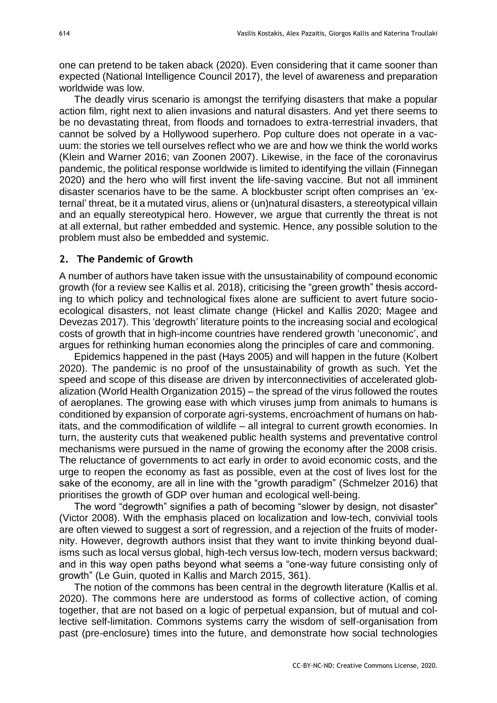one can pretend to be taken aback (2020). Even considering that it came sooner than expected (National Intelligence Council 2017), the level of awareness and preparation worldwide was low.

The deadly virus scenario is amongst the terrifying disasters that make a popular action film, right next to alien invasions and natural disasters. And yet there seems to be no devastating threat, from floods and tornadoes to extra-terrestrial invaders, that cannot be solved by a Hollywood superhero. Pop culture does not operate in a vacuum: the stories we tell ourselves reflect who we are and how we think the world works (Klein and Warner 2016; van Zoonen 2007). Likewise, in the face of the coronavirus pandemic, the political response worldwide is limited to identifying the villain (Finnegan 2020) and the hero who will first invent the life-saving vaccine. But not all imminent disaster scenarios have to be the same. A blockbuster script often comprises an 'external' threat, be it a mutated virus, aliens or (un)natural disasters, a stereotypical villain and an equally stereotypical hero. However, we argue that currently the threat is not at all external, but rather embedded and systemic. Hence, any possible solution to the problem must also be embedded and systemic.

## **2. The Pandemic of Growth**

A number of authors have taken issue with the unsustainability of compound economic growth (for a review see Kallis et al. 2018), criticising the "green growth" thesis according to which policy and technological fixes alone are sufficient to avert future socioecological disasters, not least climate change (Hickel and Kallis 2020; Magee and Devezas 2017). This 'degrowth' literature points to the increasing social and ecological costs of growth that in high-income countries have rendered growth 'uneconomic', and argues for rethinking human economies along the principles of care and commoning.

Epidemics happened in the past (Hays 2005) and will happen in the future (Kolbert 2020). The pandemic is no proof of the unsustainability of growth as such. Yet the speed and scope of this disease are driven by interconnectivities of accelerated globalization (World Health Organization 2015) – the spread of the virus followed the routes of aeroplanes. The growing ease with which viruses jump from animals to humans is conditioned by expansion of corporate agri-systems, encroachment of humans on habitats, and the commodification of wildlife – all integral to current growth economies. In turn, the austerity cuts that weakened public health systems and preventative control mechanisms were pursued in the name of growing the economy after the 2008 crisis. The reluctance of governments to act early in order to avoid economic costs, and the urge to reopen the economy as fast as possible, even at the cost of lives lost for the sake of the economy, are all in line with the "growth paradigm" (Schmelzer 2016) that prioritises the growth of GDP over human and ecological well-being.

The word "degrowth" signifies a path of becoming "slower by design, not disaster" (Victor 2008). With the emphasis placed on localization and low-tech, convivial tools are often viewed to suggest a sort of regression, and a rejection of the fruits of modernity. However, degrowth authors insist that they want to invite thinking beyond dualisms such as local versus global, high-tech versus low-tech, modern versus backward; and in this way open paths beyond what seems a "one-way future consisting only of growth" (Le Guin, quoted in Kallis and March 2015, 361).

The notion of the commons has been central in the degrowth literature (Kallis et al. 2020). The commons here are understood as forms of collective action, of coming together, that are not based on a logic of perpetual expansion, but of mutual and collective self-limitation. Commons systems carry the wisdom of self-organisation from past (pre-enclosure) times into the future, and demonstrate how social technologies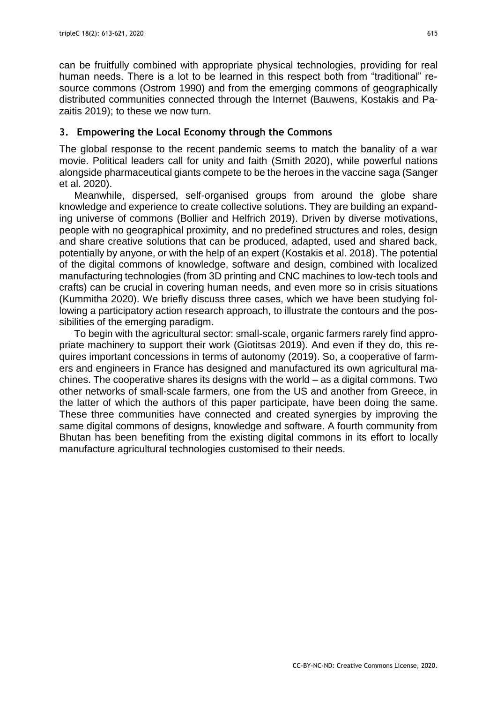can be fruitfully combined with appropriate physical technologies, providing for real human needs. There is a lot to be learned in this respect both from "traditional" resource commons (Ostrom 1990) and from the emerging commons of geographically distributed communities connected through the Internet (Bauwens, Kostakis and Pazaitis 2019); to these we now turn.

# **3. Empowering the Local Economy through the Commons**

The global response to the recent pandemic seems to match the banality of a war movie. Political leaders call for unity and faith (Smith 2020), while powerful nations alongside pharmaceutical giants compete to be the heroes in the vaccine saga (Sanger et al. 2020).

Meanwhile, dispersed, self-organised groups from around the globe share knowledge and experience to create collective solutions. They are building an expanding universe of commons (Bollier and Helfrich 2019). Driven by diverse motivations, people with no geographical proximity, and no predefined structures and roles, design and share creative solutions that can be produced, adapted, used and shared back, potentially by anyone, or with the help of an expert (Kostakis et al. 2018). The potential of the digital commons of knowledge, software and design, combined with localized manufacturing technologies (from 3D printing and CNC machines to low-tech tools and crafts) can be crucial in covering human needs, and even more so in crisis situations (Kummitha 2020). We briefly discuss three cases, which we have been studying following a participatory action research approach, to illustrate the contours and the possibilities of the emerging paradigm.

To begin with the agricultural sector: small-scale, organic farmers rarely find appropriate machinery to support their work (Giotitsas 2019). And even if they do, this requires important concessions in terms of autonomy (2019). So, a cooperative of farmers and engineers in France has designed and manufactured its own agricultural machines. The cooperative shares its designs with the world – as a digital commons. Two other networks of small-scale farmers, one from the US and another from Greece, in the latter of which the authors of this paper participate, have been doing the same. These three communities have connected and created synergies by improving the same digital commons of designs, knowledge and software. A fourth community from Bhutan has been benefiting from the existing digital commons in its effort to locally manufacture agricultural technologies customised to their needs.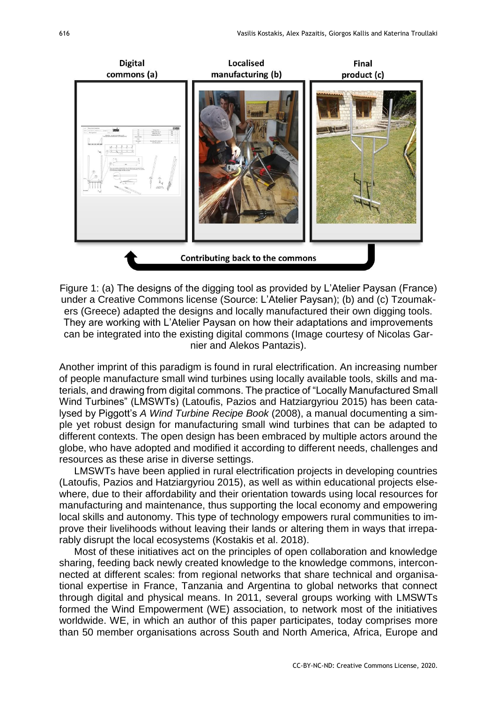

Figure 1: (a) The designs of the digging tool as provided by L'Atelier Paysan (France) under a Creative Commons license (Source: L'Atelier Paysan); (b) and (c) Tzoumakers (Greece) adapted the designs and locally manufactured their own digging tools. They are working with L'Atelier Paysan on how their adaptations and improvements can be integrated into the existing digital commons (Image courtesy of Nicolas Garnier and Alekos Pantazis).

Another imprint of this paradigm is found in rural electrification. An increasing number of people manufacture small wind turbines using locally available tools, skills and materials, and drawing from digital commons. The practice of "Locally Manufactured Small Wind Turbines" (LMSWTs) (Latoufis, Pazios and Hatziargyriou 2015) has been catalysed by Piggott's *A Wind Turbine Recipe Book* (2008), a manual documenting a simple yet robust design for manufacturing small wind turbines that can be adapted to different contexts. The open design has been embraced by multiple actors around the globe, who have adopted and modified it according to different needs, challenges and resources as these arise in diverse settings.

LMSWTs have been applied in rural electrification projects in developing countries (Latoufis, Pazios and Hatziargyriou 2015), as well as within educational projects elsewhere, due to their affordability and their orientation towards using local resources for manufacturing and maintenance, thus supporting the local economy and empowering local skills and autonomy. This type of technology empowers rural communities to improve their livelihoods without leaving their lands or altering them in ways that irreparably disrupt the local ecosystems (Kostakis et al. 2018).

Most of these initiatives act on the principles of open collaboration and knowledge sharing, feeding back newly created knowledge to the knowledge commons, interconnected at different scales: from regional networks that share technical and organisational expertise in France, Tanzania and Argentina to global networks that connect through digital and physical means. In 2011, several groups working with LMSWTs formed the Wind Empowerment (WE) association, to network most of the initiatives worldwide. WE, in which an author of this paper participates, today comprises more than 50 member organisations across South and North America, Africa, Europe and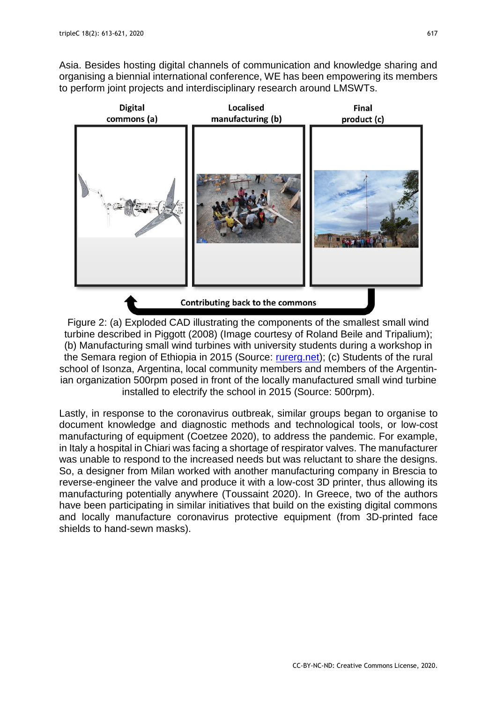Asia. Besides hosting digital channels of communication and knowledge sharing and organising a biennial international conference, WE has been empowering its members to perform joint projects and interdisciplinary research around LMSWTs.



Figure 2: (a) Exploded CAD illustrating the components of the smallest small wind turbine described in Piggott (2008) (Image courtesy of Roland Beile and Tripalium); (b) Manufacturing small wind turbines with university students during a workshop in the Semara region of Ethiopia in 2015 (Source: [rurerg.net\)](http://rurerg.net/); (c) Students of the rural school of Isonza, Argentina, local community members and members of the Argentinian organization 500rpm posed in front of the locally manufactured small wind turbine installed to electrify the school in 2015 (Source: 500rpm).

Lastly, in response to the coronavirus outbreak, similar groups began to organise to document knowledge and diagnostic methods and technological tools, or low-cost manufacturing of equipment (Coetzee 2020), to address the pandemic. For example, in Italy a hospital in Chiari was facing a shortage of respirator valves. The manufacturer was unable to respond to the increased needs but was reluctant to share the designs. So, a designer from Milan worked with another manufacturing company in Brescia to reverse-engineer the valve and produce it with a low-cost 3D printer, thus allowing its manufacturing potentially anywhere (Toussaint 2020). In Greece, two of the authors have been participating in similar initiatives that build on the existing digital commons and locally manufacture coronavirus protective equipment (from 3D-printed face shields to hand-sewn masks).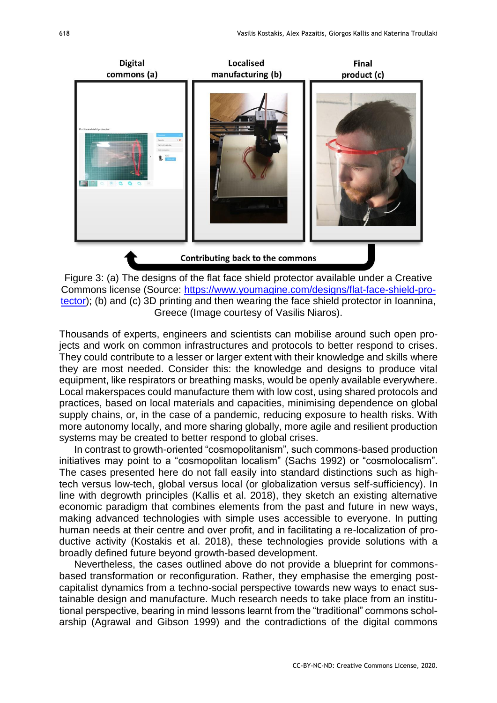

Figure 3: (a) The designs of the flat face shield protector available under a Creative Commons license (Source: [https://www.youmagine.com/designs/flat-face-shield-pro](https://www.youmagine.com/designs/flat-face-shield-protector)[tector\)](https://www.youmagine.com/designs/flat-face-shield-protector); (b) and (c) 3D printing and then wearing the face shield protector in Ioannina, Greece (Image courtesy of Vasilis Niaros).

Thousands of experts, engineers and scientists can mobilise around such open projects and work on common infrastructures and protocols to better respond to crises. They could contribute to a lesser or larger extent with their knowledge and skills where they are most needed. Consider this: the knowledge and designs to produce vital equipment, like respirators or breathing masks, would be openly available everywhere. Local makerspaces could manufacture them with low cost, using shared protocols and practices, based on local materials and capacities, minimising dependence on global supply chains, or, in the case of a pandemic, reducing exposure to health risks. With more autonomy locally, and more sharing globally, more agile and resilient production systems may be created to better respond to global crises.

In contrast to growth-oriented "cosmopolitanism", such commons-based production initiatives may point to a "cosmopolitan localism" (Sachs 1992) or "cosmolocalism". The cases presented here do not fall easily into standard distinctions such as hightech versus low-tech, global versus local (or globalization versus self-sufficiency). In line with degrowth principles (Kallis et al. 2018), they sketch an existing alternative economic paradigm that combines elements from the past and future in new ways, making advanced technologies with simple uses accessible to everyone. In putting human needs at their centre and over profit, and in facilitating a re-localization of productive activity (Kostakis et al. 2018), these technologies provide solutions with a broadly defined future beyond growth-based development.

Nevertheless, the cases outlined above do not provide a blueprint for commonsbased transformation or reconfiguration. Rather, they emphasise the emerging postcapitalist dynamics from a techno-social perspective towards new ways to enact sustainable design and manufacture. Much research needs to take place from an institutional perspective, bearing in mind lessons learnt from the "traditional" commons scholarship (Agrawal and Gibson 1999) and the contradictions of the digital commons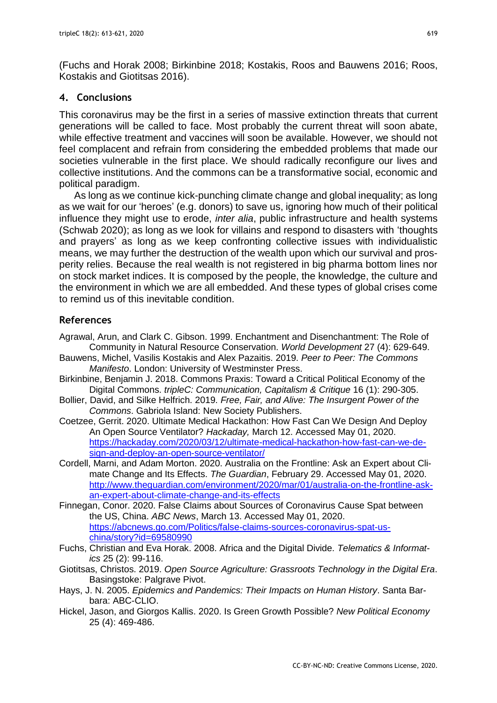(Fuchs and Horak 2008; Birkinbine 2018; Kostakis, Roos and Bauwens 2016; Roos, Kostakis and Giotitsas 2016).

# **4. Conclusions**

This coronavirus may be the first in a series of massive extinction threats that current generations will be called to face. Most probably the current threat will soon abate, while effective treatment and vaccines will soon be available. However, we should not feel complacent and refrain from considering the embedded problems that made our societies vulnerable in the first place. We should radically reconfigure our lives and collective institutions. And the commons can be a transformative social, economic and political paradigm.

As long as we continue kick-punching climate change and global inequality; as long as we wait for our 'heroes' (e.g. donors) to save us, ignoring how much of their political influence they might use to erode, *inter alia*, public infrastructure and health systems (Schwab 2020); as long as we look for villains and respond to disasters with 'thoughts and prayers' as long as we keep confronting collective issues with individualistic means, we may further the destruction of the wealth upon which our survival and prosperity relies. Because the real wealth is not registered in big pharma bottom lines nor on stock market indices. It is composed by the people, the knowledge, the culture and the environment in which we are all embedded. And these types of global crises come to remind us of this inevitable condition.

# **References**

- Agrawal, Arun, and Clark C. Gibson. 1999. Enchantment and Disenchantment: The Role of Community in Natural Resource Conservation. *World Development* 27 (4): 629-649.
- Bauwens, Michel, Vasilis Kostakis and Alex Pazaitis. 2019. *Peer to Peer: The Commons Manifesto*. London: University of Westminster Press.
- Birkinbine, Benjamin J. 2018. Commons Praxis: Toward a Critical Political Economy of the Digital Commons. *tripleC: Communication, Capitalism & Critique* 16 (1): 290-305.
- Bollier, David, and Silke Helfrich. 2019. *Free, Fair, and Alive: The Insurgent Power of the Commons*. Gabriola Island: New Society Publishers.
- Coetzee, Gerrit. 2020. Ultimate Medical Hackathon: How Fast Can We Design And Deploy An Open Source Ventilator? *Hackaday,* March 12. Accessed May 01, 2020. [https://hackaday.com/2020/03/12/ultimate-medical-hackathon-how-fast-can-we-de](https://hackaday.com/2020/03/12/ultimate-medical-hackathon-how-fast-can-we-design-and-deploy-an-open-source-ventilator/)[sign-and-deploy-an-open-source-ventilator/](https://hackaday.com/2020/03/12/ultimate-medical-hackathon-how-fast-can-we-design-and-deploy-an-open-source-ventilator/)
- Cordell, Marni, and Adam Morton. 2020. Australia on the Frontline: Ask an Expert about Climate Change and Its Effects. *The Guardian*, February 29. Accessed May 01, 2020. [http://www.theguardian.com/environment/2020/mar/01/australia-on-the-frontline-ask](http://www.theguardian.com/environment/2020/mar/01/australia-on-the-frontline-ask-an-expert-about-climate-change-and-its-effects)[an-expert-about-climate-change-and-its-effects](http://www.theguardian.com/environment/2020/mar/01/australia-on-the-frontline-ask-an-expert-about-climate-change-and-its-effects)
- Finnegan, Conor. 2020. False Claims about Sources of Coronavirus Cause Spat between the US, China. *ABC News*, March 13. Accessed May 01, 2020. [https://abcnews.go.com/Politics/false-claims-sources-coronavirus-spat-us](https://abcnews.go.com/Politics/false-claims-sources-coronavirus-spat-us-china/story?id=69580990)[china/story?id=69580990](https://abcnews.go.com/Politics/false-claims-sources-coronavirus-spat-us-china/story?id=69580990)
- Fuchs, Christian and Eva Horak. 2008. Africa and the Digital Divide. *Telematics & Informatics* 25 (2): 99-116.
- Giotitsas, Christos. 2019. *Open Source Agriculture: Grassroots Technology in the Digital Era*. Basingstoke: Palgrave Pivot.
- Hays, J. N. 2005. *Epidemics and Pandemics: Their Impacts on Human History*. Santa Barbara: ABC-CLIO.
- Hickel, Jason, and Giorgos Kallis. 2020. Is Green Growth Possible? *New Political Economy* 25 (4): 469-486.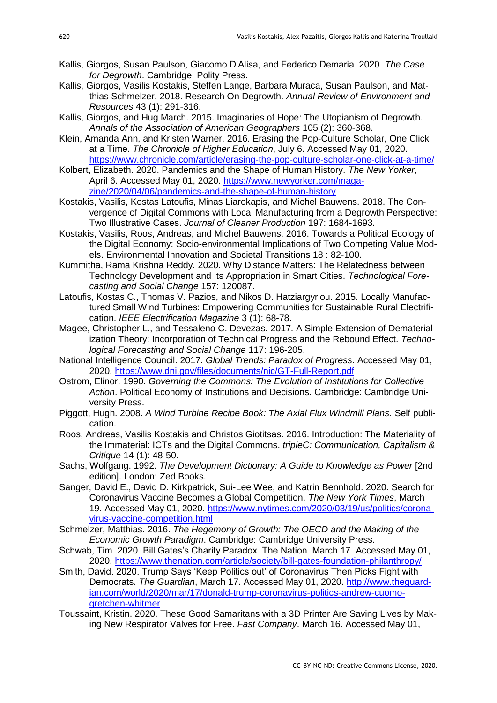- Kallis, Giorgos, Susan Paulson, Giacomo D'Alisa, and Federico Demaria. 2020. *The Case for Degrowth*. Cambridge: Polity Press.
- Kallis, Giorgos, Vasilis Kostakis, Steffen Lange, Barbara Muraca, Susan Paulson, and Matthias Schmelzer. 2018. Research On Degrowth. *Annual Review of Environment and Resources* 43 (1): 291-316.
- Kallis, Giorgos, and Hug March. 2015. Imaginaries of Hope: The Utopianism of Degrowth. *Annals of the Association of American Geographers* 105 (2): 360-368.
- Klein, Amanda Ann, and Kristen Warner. 2016. Erasing the Pop-Culture Scholar, One Click at a Time. *The Chronicle of Higher Education*, July 6. Accessed May 01, 2020. <https://www.chronicle.com/article/erasing-the-pop-culture-scholar-one-click-at-a-time/>
- Kolbert, Elizabeth. 2020. Pandemics and the Shape of Human History. *The New Yorker*, April 6. Accessed May 01, 2020. [https://www.newyorker.com/maga](https://www.newyorker.com/magazine/2020/04/06/pandemics-and-the-shape-of-human-history)[zine/2020/04/06/pandemics-and-the-shape-of-human-history](https://www.newyorker.com/magazine/2020/04/06/pandemics-and-the-shape-of-human-history)
- Kostakis, Vasilis, Kostas Latoufis, Minas Liarokapis, and Michel Bauwens. 2018. The Convergence of Digital Commons with Local Manufacturing from a Degrowth Perspective: Two Illustrative Cases. *Journal of Cleaner Production* 197: 1684-1693.
- Kostakis, Vasilis, Roos, Andreas, and Michel Bauwens. 2016. Towards a Political Ecology of the Digital Economy: Socio-environmental Implications of Two Competing Value Models. Environmental Innovation and Societal Transitions 18 : 82-100.
- Kummitha, Rama Krishna Reddy. 2020. Why Distance Matters: The Relatedness between Technology Development and Its Appropriation in Smart Cities. *Technological Forecasting and Social Change* 157: 120087.
- Latoufis, Kostas C., Thomas V. Pazios, and Nikos D. Hatziargyriou. 2015. Locally Manufactured Small Wind Turbines: Empowering Communities for Sustainable Rural Electrification. *IEEE Electrification Magazine* 3 (1): 68-78.
- Magee, Christopher L., and Tessaleno C. Devezas. 2017. A Simple Extension of Dematerialization Theory: Incorporation of Technical Progress and the Rebound Effect. *Technological Forecasting and Social Change* 117: 196-205.
- National Intelligence Council. 2017. *Global Trends: Paradox of Progress*. Accessed May 01, 2020.<https://www.dni.gov/files/documents/nic/GT-Full-Report.pdf>
- Ostrom, Elinor. 1990. *Governing the Commons: The Evolution of Institutions for Collective Action*. Political Economy of Institutions and Decisions. Cambridge: Cambridge University Press.
- Piggott, Hugh. 2008. *A Wind Turbine Recipe Book: The Axial Flux Windmill Plans*. Self publication.
- Roos, Andreas, Vasilis Kostakis and Christos Giotitsas. 2016. Introduction: The Materiality of the Immaterial: ICTs and the Digital Commons. *tripleC: Communication, Capitalism & Critique* 14 (1): 48-50.
- Sachs, Wolfgang. 1992. *The Development Dictionary: A Guide to Knowledge as Power* [2nd edition]. London: Zed Books.
- Sanger, David E., David D. Kirkpatrick, Sui-Lee Wee, and Katrin Bennhold. 2020. Search for Coronavirus Vaccine Becomes a Global Competition. *The New York Times*, March 19. Accessed May 01, 2020. [https://www.nytimes.com/2020/03/19/us/politics/corona](https://www.nytimes.com/2020/03/19/us/politics/coronavirus-vaccine-competition.html)[virus-vaccine-competition.html](https://www.nytimes.com/2020/03/19/us/politics/coronavirus-vaccine-competition.html)
- Schmelzer, Matthias. 2016. *The Hegemony of Growth: The OECD and the Making of the Economic Growth Paradigm*. Cambridge: Cambridge University Press.
- Schwab, Tim. 2020. Bill Gates's Charity Paradox. The Nation. March 17. Accessed May 01, 2020.<https://www.thenation.com/article/society/bill-gates-foundation-philanthropy/>
- Smith, David. 2020. Trump Says 'Keep Politics out' of Coronavirus Then Picks Fight with Democrats. *The Guardian*, March 17. Accessed May 01, 2020. [http://www.theguard](http://www.theguardian.com/world/2020/mar/17/donald-trump-coronavirus-politics-andrew-cuomo-gretchen-whitmer)[ian.com/world/2020/mar/17/donald-trump-coronavirus-politics-andrew-cuomo](http://www.theguardian.com/world/2020/mar/17/donald-trump-coronavirus-politics-andrew-cuomo-gretchen-whitmer)[gretchen-whitmer](http://www.theguardian.com/world/2020/mar/17/donald-trump-coronavirus-politics-andrew-cuomo-gretchen-whitmer)
- Toussaint, Kristin. 2020. These Good Samaritans with a 3D Printer Are Saving Lives by Making New Respirator Valves for Free. *Fast Company*. March 16. Accessed May 01,